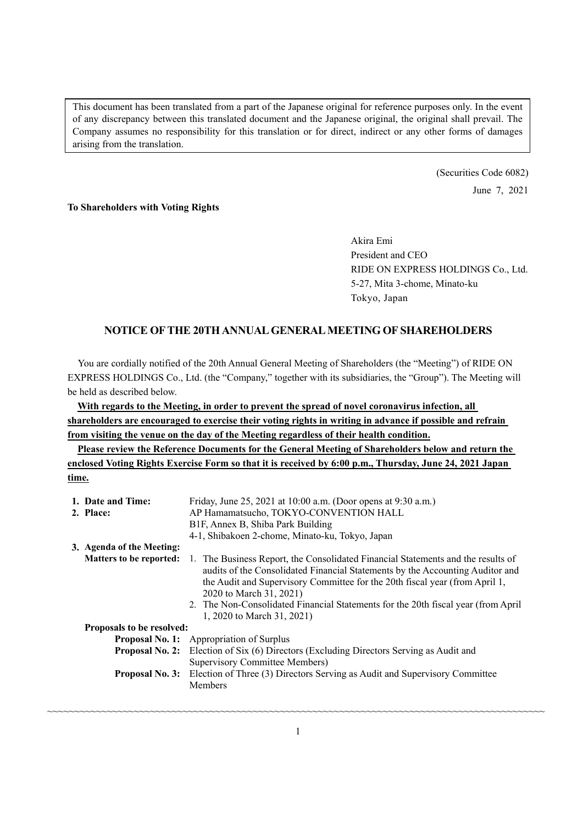This document has been translated from a part of the Japanese original for reference purposes only. In the event of any discrepancy between this translated document and the Japanese original, the original shall prevail. The Company assumes no responsibility for this translation or for direct, indirect or any other forms of damages arising from the translation.

> (Securities Code 6082) June 7, 2021

#### **To Shareholders with Voting Rights**

Akira Emi President and CEO RIDE ON EXPRESS HOLDINGS Co., Ltd. 5-27, Mita 3-chome, Minato-ku Tokyo, Japan

### **NOTICE OF THE 20TH ANNUAL GENERAL MEETING OF SHAREHOLDERS**

You are cordially notified of the 20th Annual General Meeting of Shareholders (the "Meeting") of RIDE ON EXPRESS HOLDINGS Co., Ltd. (the "Company," together with its subsidiaries, the "Group"). The Meeting will be held as described below.

**With regards to the Meeting, in order to prevent the spread of novel coronavirus infection, all shareholders are encouraged to exercise their voting rights in writing in advance if possible and refrain from visiting the venue on the day of the Meeting regardless of their health condition.** 

**Please review the Reference Documents for the General Meeting of Shareholders below and return the enclosed Voting Rights Exercise Form so that it is received by 6:00 p.m., Thursday, June 24, 2021 Japan time.** 

|                                  | 1. Date and Time:              | Friday, June 25, 2021 at 10:00 a.m. (Door opens at 9:30 a.m.)                                                                                                                                                                                                                                                                                                                                   |  |  |
|----------------------------------|--------------------------------|-------------------------------------------------------------------------------------------------------------------------------------------------------------------------------------------------------------------------------------------------------------------------------------------------------------------------------------------------------------------------------------------------|--|--|
|                                  | 2. Place:                      | AP Hamamatsucho, TOKYO-CONVENTION HALL                                                                                                                                                                                                                                                                                                                                                          |  |  |
|                                  |                                | B1F, Annex B, Shiba Park Building                                                                                                                                                                                                                                                                                                                                                               |  |  |
|                                  |                                | 4-1, Shibakoen 2-chome, Minato-ku, Tokyo, Japan                                                                                                                                                                                                                                                                                                                                                 |  |  |
|                                  | 3. Agenda of the Meeting:      |                                                                                                                                                                                                                                                                                                                                                                                                 |  |  |
|                                  | <b>Matters to be reported:</b> | 1. The Business Report, the Consolidated Financial Statements and the results of<br>audits of the Consolidated Financial Statements by the Accounting Auditor and<br>the Audit and Supervisory Committee for the 20th fiscal year (from April 1,<br>2020 to March 31, 2021)<br>2. The Non-Consolidated Financial Statements for the 20th fiscal year (from April)<br>1, 2020 to March 31, 2021) |  |  |
| <b>Proposals to be resolved:</b> |                                |                                                                                                                                                                                                                                                                                                                                                                                                 |  |  |
|                                  |                                | <b>Proposal No. 1:</b> Appropriation of Surplus                                                                                                                                                                                                                                                                                                                                                 |  |  |
|                                  | <b>Proposal No. 2:</b>         | Election of Six (6) Directors (Excluding Directors Serving as Audit and<br>Supervisory Committee Members)                                                                                                                                                                                                                                                                                       |  |  |
|                                  | <b>Proposal No. 3:</b>         | Election of Three (3) Directors Serving as Audit and Supervisory Committee<br>Members                                                                                                                                                                                                                                                                                                           |  |  |

~~~~~~~~~~~~~~~~~~~~~~~~~~~~~~~~~~~~~~~~~~~~~~~~~~~~~~~~~~~~~~~~~~~~~~~~~~~~~~~~~~~~~~~~~~~~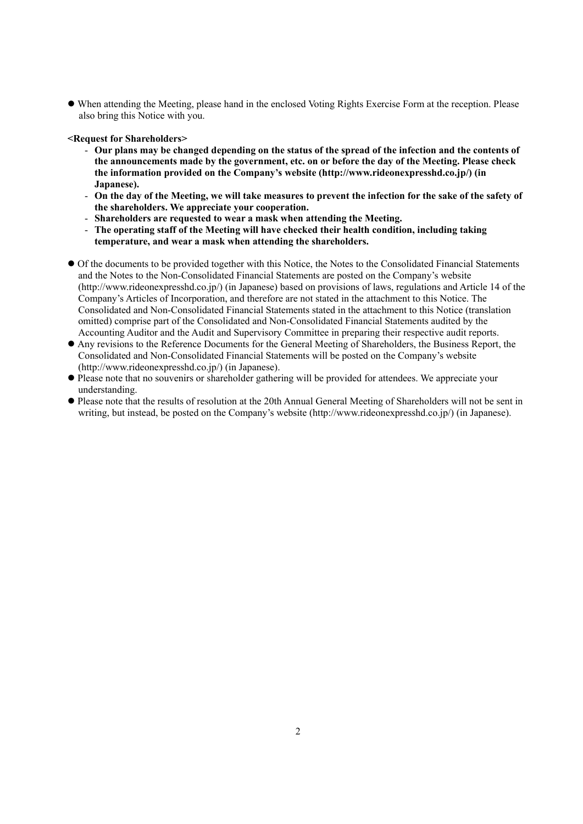When attending the Meeting, please hand in the enclosed Voting Rights Exercise Form at the reception. Please also bring this Notice with you.

**<Request for Shareholders>** 

- **Our plans may be changed depending on the status of the spread of the infection and the contents of the announcements made by the government, etc. on or before the day of the Meeting. Please check the information provided on the Company's website (http://www.rideonexpresshd.co.jp/) (in Japanese).**
- **On the day of the Meeting, we will take measures to prevent the infection for the sake of the safety of the shareholders. We appreciate your cooperation.**
- **Shareholders are requested to wear a mask when attending the Meeting.**
- **The operating staff of the Meeting will have checked their health condition, including taking temperature, and wear a mask when attending the shareholders.**
- Of the documents to be provided together with this Notice, the Notes to the Consolidated Financial Statements and the Notes to the Non-Consolidated Financial Statements are posted on the Company's website (http://www.rideonexpresshd.co.jp/) (in Japanese) based on provisions of laws, regulations and Article 14 of the Company's Articles of Incorporation, and therefore are not stated in the attachment to this Notice. The Consolidated and Non-Consolidated Financial Statements stated in the attachment to this Notice (translation omitted) comprise part of the Consolidated and Non-Consolidated Financial Statements audited by the Accounting Auditor and the Audit and Supervisory Committee in preparing their respective audit reports.
- Any revisions to the Reference Documents for the General Meeting of Shareholders, the Business Report, the Consolidated and Non-Consolidated Financial Statements will be posted on the Company's website (http://www.rideonexpresshd.co.jp/) (in Japanese).
- Please note that no souvenirs or shareholder gathering will be provided for attendees. We appreciate your understanding.
- Please note that the results of resolution at the 20th Annual General Meeting of Shareholders will not be sent in writing, but instead, be posted on the Company's website (http://www.rideonexpresshd.co.jp/) (in Japanese).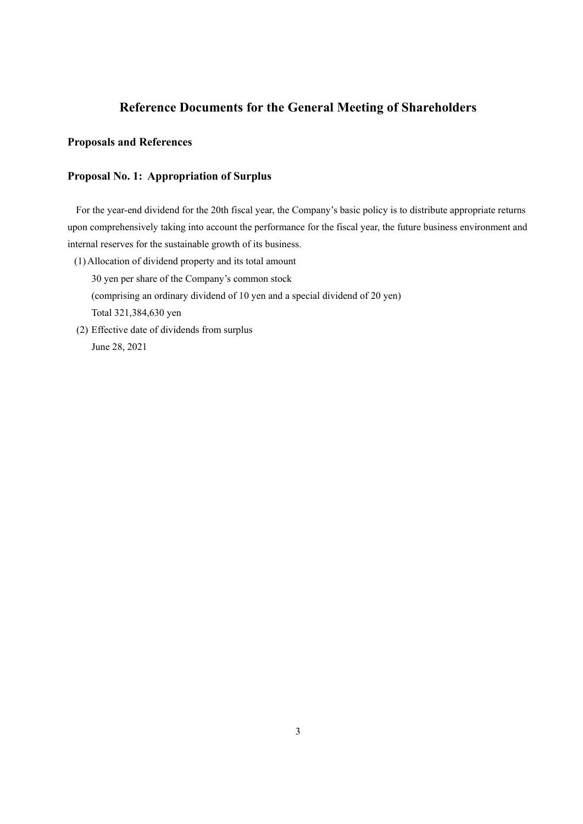# **Reference Documents for the General Meeting of Shareholders**

### **Proposals and References**

### **Proposal No. 1: Appropriation of Surplus**

For the year-end dividend for the 20th fiscal year, the Company's basic policy is to distribute appropriate returns upon comprehensively taking into account the performance for the fiscal year, the future business environment and internal reserves for the sustainable growth of its business.

- (1) Allocation of dividend property and its total amount 30 yen per share of the Company's common stock (comprising an ordinary dividend of 10 yen and a special dividend of 20 yen) Total 321,384,630 yen
- (2) Effective date of dividends from surplus June 28, 2021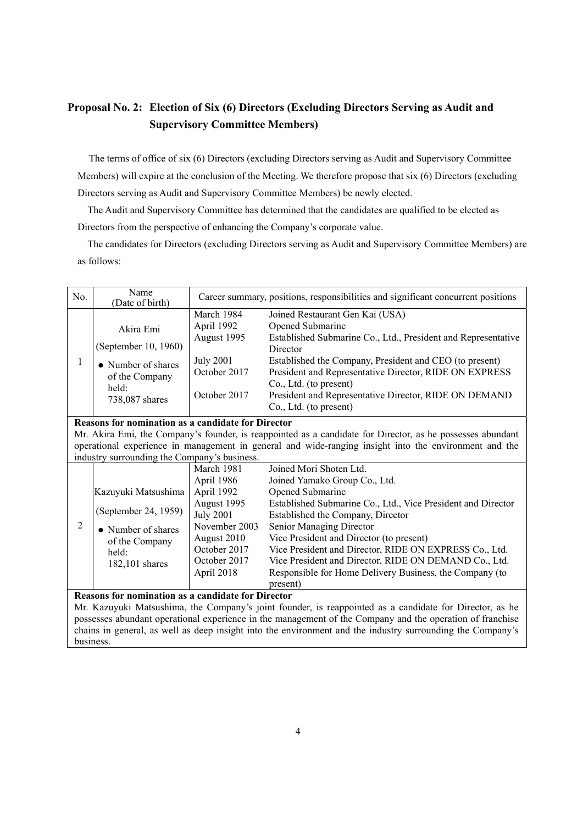# **Proposal No. 2: Election of Six (6) Directors (Excluding Directors Serving as Audit and Supervisory Committee Members)**

The terms of office of six (6) Directors (excluding Directors serving as Audit and Supervisory Committee Members) will expire at the conclusion of the Meeting. We therefore propose that six (6) Directors (excluding Directors serving as Audit and Supervisory Committee Members) be newly elected.

The Audit and Supervisory Committee has determined that the candidates are qualified to be elected as Directors from the perspective of enhancing the Company's corporate value.

The candidates for Directors (excluding Directors serving as Audit and Supervisory Committee Members) are as follows:

| No.                                                                                                                                                                                                                                                                                                                                                                                                          | Name<br>(Date of birth)                                                                                        | Career summary, positions, responsibilities and significant concurrent positions                                                                        |                                                                                                                                                                                                                                                                                                                                                                                                                                                     |
|--------------------------------------------------------------------------------------------------------------------------------------------------------------------------------------------------------------------------------------------------------------------------------------------------------------------------------------------------------------------------------------------------------------|----------------------------------------------------------------------------------------------------------------|---------------------------------------------------------------------------------------------------------------------------------------------------------|-----------------------------------------------------------------------------------------------------------------------------------------------------------------------------------------------------------------------------------------------------------------------------------------------------------------------------------------------------------------------------------------------------------------------------------------------------|
| 1                                                                                                                                                                                                                                                                                                                                                                                                            | Akira Emi<br>(September 10, 1960)<br>• Number of shares<br>of the Company<br>held:<br>738,087 shares           | March 1984<br>April 1992<br>August 1995<br><b>July 2001</b><br>October 2017<br>October 2017                                                             | Joined Restaurant Gen Kai (USA)<br>Opened Submarine<br>Established Submarine Co., Ltd., President and Representative<br>Director<br>Established the Company, President and CEO (to present)<br>President and Representative Director, RIDE ON EXPRESS<br>Co., Ltd. (to present)<br>President and Representative Director, RIDE ON DEMAND<br>Co., Ltd. (to present)                                                                                  |
| <b>Reasons for nomination as a candidate for Director</b><br>Mr. Akira Emi, the Company's founder, is reappointed as a candidate for Director, as he possesses abundant<br>operational experience in management in general and wide-ranging insight into the environment and the<br>industry surrounding the Company's business.                                                                             |                                                                                                                |                                                                                                                                                         |                                                                                                                                                                                                                                                                                                                                                                                                                                                     |
| 2                                                                                                                                                                                                                                                                                                                                                                                                            | Kazuyuki Matsushima<br>(September 24, 1959)<br>• Number of shares<br>of the Company<br>held:<br>182,101 shares | March 1981<br>April 1986<br>April 1992<br>August 1995<br><b>July 2001</b><br>November 2003<br>August 2010<br>October 2017<br>October 2017<br>April 2018 | Joined Mori Shoten Ltd.<br>Joined Yamako Group Co., Ltd.<br>Opened Submarine<br>Established Submarine Co., Ltd., Vice President and Director<br>Established the Company, Director<br>Senior Managing Director<br>Vice President and Director (to present)<br>Vice President and Director, RIDE ON EXPRESS Co., Ltd.<br>Vice President and Director, RIDE ON DEMAND Co., Ltd.<br>Responsible for Home Delivery Business, the Company (to<br>present) |
| <b>Reasons for nomination as a candidate for Director</b><br>Mr. Kazuyuki Matsushima, the Company's joint founder, is reappointed as a candidate for Director, as he<br>possesses abundant operational experience in the management of the Company and the operation of franchise<br>chains in general, as well as deep insight into the environment and the industry surrounding the Company's<br>business. |                                                                                                                |                                                                                                                                                         |                                                                                                                                                                                                                                                                                                                                                                                                                                                     |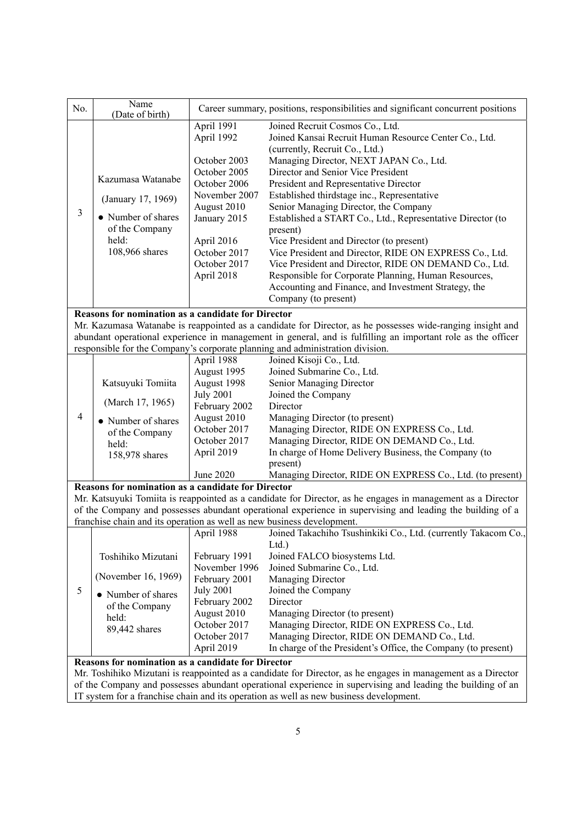| No.                                                                                                          | Name                                                                   |                  | Career summary, positions, responsibilities and significant concurrent positions                             |
|--------------------------------------------------------------------------------------------------------------|------------------------------------------------------------------------|------------------|--------------------------------------------------------------------------------------------------------------|
|                                                                                                              | (Date of birth)                                                        | April 1991       | Joined Recruit Cosmos Co., Ltd.                                                                              |
|                                                                                                              |                                                                        | April 1992       | Joined Kansai Recruit Human Resource Center Co., Ltd.                                                        |
|                                                                                                              |                                                                        |                  | (currently, Recruit Co., Ltd.)                                                                               |
|                                                                                                              |                                                                        | October 2003     | Managing Director, NEXT JAPAN Co., Ltd.                                                                      |
|                                                                                                              |                                                                        | October 2005     | Director and Senior Vice President                                                                           |
|                                                                                                              | Kazumasa Watanabe                                                      | October 2006     | President and Representative Director                                                                        |
|                                                                                                              |                                                                        | November 2007    | Established thirdstage inc., Representative                                                                  |
|                                                                                                              | (January 17, 1969)                                                     | August 2010      | Senior Managing Director, the Company                                                                        |
| 3                                                                                                            | • Number of shares                                                     | January 2015     | Established a START Co., Ltd., Representative Director (to                                                   |
|                                                                                                              | of the Company                                                         |                  | present)                                                                                                     |
|                                                                                                              | held:                                                                  | April 2016       | Vice President and Director (to present)                                                                     |
|                                                                                                              | 108,966 shares                                                         | October 2017     | Vice President and Director, RIDE ON EXPRESS Co., Ltd.                                                       |
|                                                                                                              |                                                                        | October 2017     | Vice President and Director, RIDE ON DEMAND Co., Ltd.                                                        |
|                                                                                                              |                                                                        | April 2018       | Responsible for Corporate Planning, Human Resources,                                                         |
|                                                                                                              |                                                                        |                  | Accounting and Finance, and Investment Strategy, the                                                         |
|                                                                                                              |                                                                        |                  | Company (to present)                                                                                         |
|                                                                                                              | <b>Reasons for nomination as a candidate for Director</b>              |                  |                                                                                                              |
|                                                                                                              |                                                                        |                  | Mr. Kazumasa Watanabe is reappointed as a candidate for Director, as he possesses wide-ranging insight and   |
|                                                                                                              |                                                                        |                  | abundant operational experience in management in general, and is fulfilling an important role as the officer |
|                                                                                                              |                                                                        |                  | responsible for the Company's corporate planning and administration division.                                |
|                                                                                                              |                                                                        | April 1988       | Joined Kisoji Co., Ltd.                                                                                      |
|                                                                                                              |                                                                        | August 1995      | Joined Submarine Co., Ltd.                                                                                   |
|                                                                                                              | Katsuyuki Tomiita                                                      | August 1998      | Senior Managing Director                                                                                     |
|                                                                                                              |                                                                        | <b>July 2001</b> | Joined the Company                                                                                           |
|                                                                                                              | (March 17, 1965)                                                       | February 2002    | Director                                                                                                     |
| $\overline{4}$                                                                                               | • Number of shares                                                     | August 2010      | Managing Director (to present)                                                                               |
|                                                                                                              | of the Company                                                         | October 2017     | Managing Director, RIDE ON EXPRESS Co., Ltd.                                                                 |
|                                                                                                              | held:                                                                  | October 2017     | Managing Director, RIDE ON DEMAND Co., Ltd.                                                                  |
|                                                                                                              | 158,978 shares                                                         | April 2019       | In charge of Home Delivery Business, the Company (to                                                         |
|                                                                                                              |                                                                        |                  | present)                                                                                                     |
|                                                                                                              |                                                                        | June 2020        | Managing Director, RIDE ON EXPRESS Co., Ltd. (to present)                                                    |
|                                                                                                              | Reasons for nomination as a candidate for Director                     |                  |                                                                                                              |
|                                                                                                              |                                                                        |                  | Mr. Katsuyuki Tomiita is reappointed as a candidate for Director, as he engages in management as a Director  |
|                                                                                                              |                                                                        |                  | of the Company and possesses abundant operational experience in supervising and leading the building of a    |
|                                                                                                              | franchise chain and its operation as well as new business development. |                  |                                                                                                              |
|                                                                                                              |                                                                        |                  | April 1988 Joined Takachiho Tsushinkiki Co., Ltd. (currently Takacom Co.,                                    |
|                                                                                                              |                                                                        |                  | Ltd.                                                                                                         |
|                                                                                                              | Toshihiko Mizutani                                                     | February 1991    | Joined FALCO biosystems Ltd.                                                                                 |
|                                                                                                              |                                                                        | November 1996    | Joined Submarine Co., Ltd.                                                                                   |
|                                                                                                              | (November 16, 1969)                                                    | February 2001    | Managing Director                                                                                            |
| 5                                                                                                            | • Number of shares                                                     | <b>July 2001</b> | Joined the Company                                                                                           |
|                                                                                                              | of the Company                                                         | February 2002    | Director                                                                                                     |
|                                                                                                              | held:                                                                  | August 2010      | Managing Director (to present)                                                                               |
|                                                                                                              | 89,442 shares                                                          | October 2017     | Managing Director, RIDE ON EXPRESS Co., Ltd.                                                                 |
|                                                                                                              |                                                                        | October 2017     | Managing Director, RIDE ON DEMAND Co., Ltd.                                                                  |
|                                                                                                              |                                                                        | April 2019       | In charge of the President's Office, the Company (to present)                                                |
| Reasons for nomination as a candidate for Director                                                           |                                                                        |                  |                                                                                                              |
| Mr. Toshihiko Mizutani is reappointed as a candidate for Director, as he engages in management as a Director |                                                                        |                  |                                                                                                              |
| of the Company and possesses abundant operational experience in supervising and leading the building of an   |                                                                        |                  |                                                                                                              |

IT system for a franchise chain and its operation as well as new business development.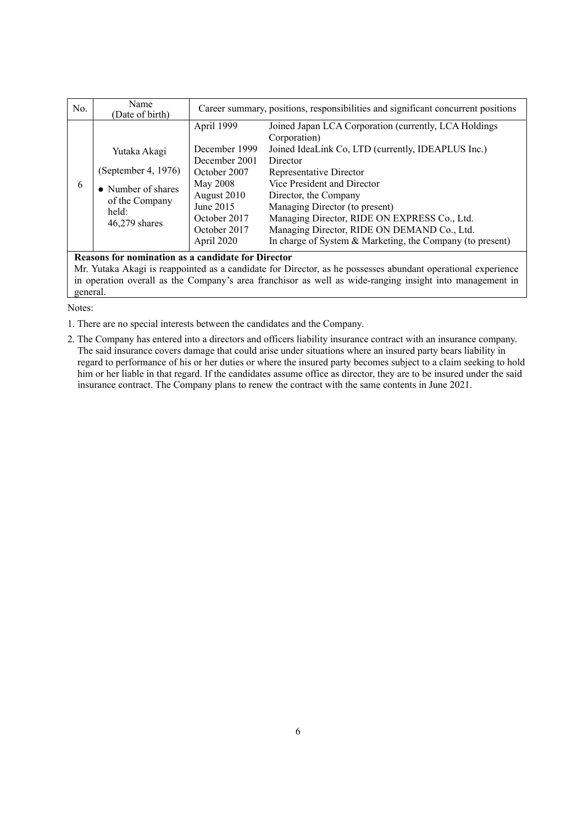| No.                                                | Name<br>(Date of birth)                                                                                 | Career summary, positions, responsibilities and significant concurrent positions                                                                   |                                                                                                                                                                                                                                                                                                                                                                                                                          |  |
|----------------------------------------------------|---------------------------------------------------------------------------------------------------------|----------------------------------------------------------------------------------------------------------------------------------------------------|--------------------------------------------------------------------------------------------------------------------------------------------------------------------------------------------------------------------------------------------------------------------------------------------------------------------------------------------------------------------------------------------------------------------------|--|
| 6                                                  | Yutaka Akagi<br>(September 4, 1976)<br>• Number of shares<br>of the Company<br>held:<br>$46,279$ shares | April 1999<br>December 1999<br>December 2001<br>October 2007<br>May 2008<br>August 2010<br>June 2015<br>October 2017<br>October 2017<br>April 2020 | Joined Japan LCA Corporation (currently, LCA Holdings<br>Corporation)<br>Joined IdeaLink Co, LTD (currently, IDEAPLUS Inc.)<br>Director<br>Representative Director<br>Vice President and Director<br>Director, the Company<br>Managing Director (to present)<br>Managing Director, RIDE ON EXPRESS Co., Ltd.<br>Managing Director, RIDE ON DEMAND Co., Ltd.<br>In charge of System & Marketing, the Company (to present) |  |
| Reasons for nomination as a candidate for Director |                                                                                                         |                                                                                                                                                    |                                                                                                                                                                                                                                                                                                                                                                                                                          |  |

Mr. Yutaka Akagi is reappointed as a candidate for Director, as he possesses abundant operational experience in operation overall as the Company's area franchisor as well as wide-ranging insight into management in general.

Notes:

1. There are no special interests between the candidates and the Company.

2. The Company has entered into a directors and officers liability insurance contract with an insurance company. The said insurance covers damage that could arise under situations where an insured party bears liability in regard to performance of his or her duties or where the insured party becomes subject to a claim seeking to hold him or her liable in that regard. If the candidates assume office as director, they are to be insured under the said insurance contract. The Company plans to renew the contract with the same contents in June 2021.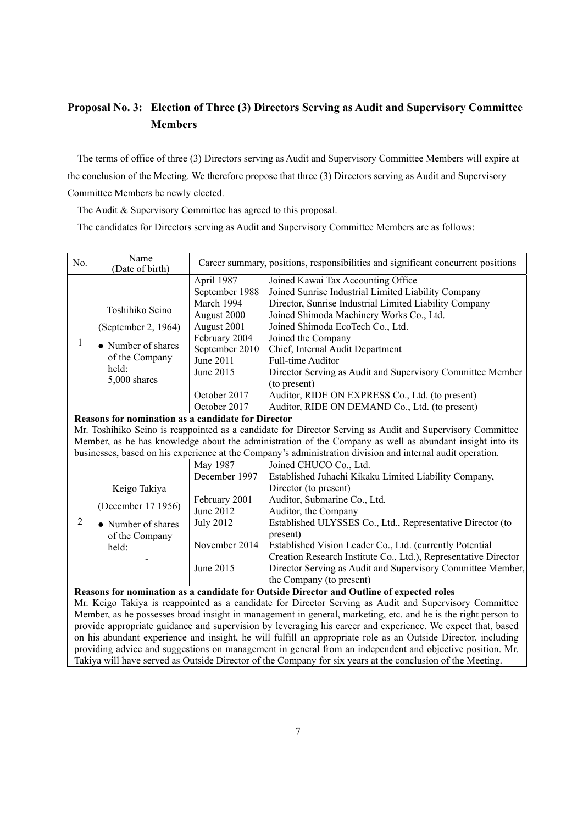# **Proposal No. 3: Election of Three (3) Directors Serving as Audit and Supervisory Committee Members**

The terms of office of three (3) Directors serving as Audit and Supervisory Committee Members will expire at the conclusion of the Meeting. We therefore propose that three (3) Directors serving as Audit and Supervisory Committee Members be newly elected.

The Audit & Supervisory Committee has agreed to this proposal.

The candidates for Directors serving as Audit and Supervisory Committee Members are as follows:

| No.                                                                                                           | Name<br>(Date of birth) | Career summary, positions, responsibilities and significant concurrent positions |                                                                 |  |
|---------------------------------------------------------------------------------------------------------------|-------------------------|----------------------------------------------------------------------------------|-----------------------------------------------------------------|--|
|                                                                                                               |                         | April 1987                                                                       | Joined Kawai Tax Accounting Office                              |  |
|                                                                                                               |                         | September 1988                                                                   | Joined Sunrise Industrial Limited Liability Company             |  |
|                                                                                                               | Toshihiko Seino         | March 1994                                                                       | Director, Sunrise Industrial Limited Liability Company          |  |
|                                                                                                               |                         | August 2000                                                                      | Joined Shimoda Machinery Works Co., Ltd.                        |  |
|                                                                                                               | (September 2, 1964)     | August 2001                                                                      | Joined Shimoda EcoTech Co., Ltd.                                |  |
| 1                                                                                                             |                         | February 2004                                                                    | Joined the Company                                              |  |
|                                                                                                               | • Number of shares      | September 2010                                                                   | Chief, Internal Audit Department                                |  |
|                                                                                                               | of the Company          | June 2011                                                                        | Full-time Auditor                                               |  |
|                                                                                                               | held:                   | June 2015                                                                        | Director Serving as Audit and Supervisory Committee Member      |  |
|                                                                                                               | 5,000 shares            |                                                                                  | (to present)                                                    |  |
|                                                                                                               |                         | October 2017                                                                     | Auditor, RIDE ON EXPRESS Co., Ltd. (to present)                 |  |
|                                                                                                               |                         | October 2017                                                                     | Auditor, RIDE ON DEMAND Co., Ltd. (to present)                  |  |
| <b>Reasons for nomination as a candidate for Director</b>                                                     |                         |                                                                                  |                                                                 |  |
| Mr. Toshihiko Seino is reappointed as a candidate for Director Serving as Audit and Supervisory Committee     |                         |                                                                                  |                                                                 |  |
| Member, as he has knowledge about the administration of the Company as well as abundant insight into its      |                         |                                                                                  |                                                                 |  |
| businesses, based on his experience at the Company's administration division and internal audit operation.    |                         |                                                                                  |                                                                 |  |
|                                                                                                               |                         | May 1987                                                                         | Joined CHUCO Co., Ltd.                                          |  |
|                                                                                                               |                         | December 1997                                                                    | Established Juhachi Kikaku Limited Liability Company,           |  |
|                                                                                                               | Keigo Takiya            |                                                                                  | Director (to present)                                           |  |
|                                                                                                               |                         | February 2001                                                                    | Auditor, Submarine Co., Ltd.                                    |  |
|                                                                                                               | (December 17 1956)      | June 2012                                                                        | Auditor, the Company                                            |  |
| $\overline{2}$                                                                                                | • Number of shares      | <b>July 2012</b>                                                                 | Established ULYSSES Co., Ltd., Representative Director (to      |  |
|                                                                                                               | of the Company          |                                                                                  | present)                                                        |  |
|                                                                                                               | held:                   | November 2014                                                                    | Established Vision Leader Co., Ltd. (currently Potential        |  |
|                                                                                                               |                         |                                                                                  | Creation Research Institute Co., Ltd.), Representative Director |  |
|                                                                                                               |                         | June 2015                                                                        | Director Serving as Audit and Supervisory Committee Member,     |  |
|                                                                                                               |                         |                                                                                  | the Company (to present)                                        |  |
| Reasons for nomination as a candidate for Outside Director and Outline of expected roles                      |                         |                                                                                  |                                                                 |  |
| Mr. Keigo Takiya is reappointed as a candidate for Director Serving as Audit and Supervisory Committee        |                         |                                                                                  |                                                                 |  |
| Member, as he possesses broad insight in management in general, marketing, etc. and he is the right person to |                         |                                                                                  |                                                                 |  |
| provide appropriate guidance and supervision by leveraging his career and experience. We expect that, based   |                         |                                                                                  |                                                                 |  |
| on his abundant experience and insight, he will fulfill an appropriate role as an Outside Director, including |                         |                                                                                  |                                                                 |  |
| providing advice and suggestions on management in general from an independent and objective position. Mr.     |                         |                                                                                  |                                                                 |  |
| Takiya will have served as Outside Director of the Company for six years at the conclusion of the Meeting.    |                         |                                                                                  |                                                                 |  |